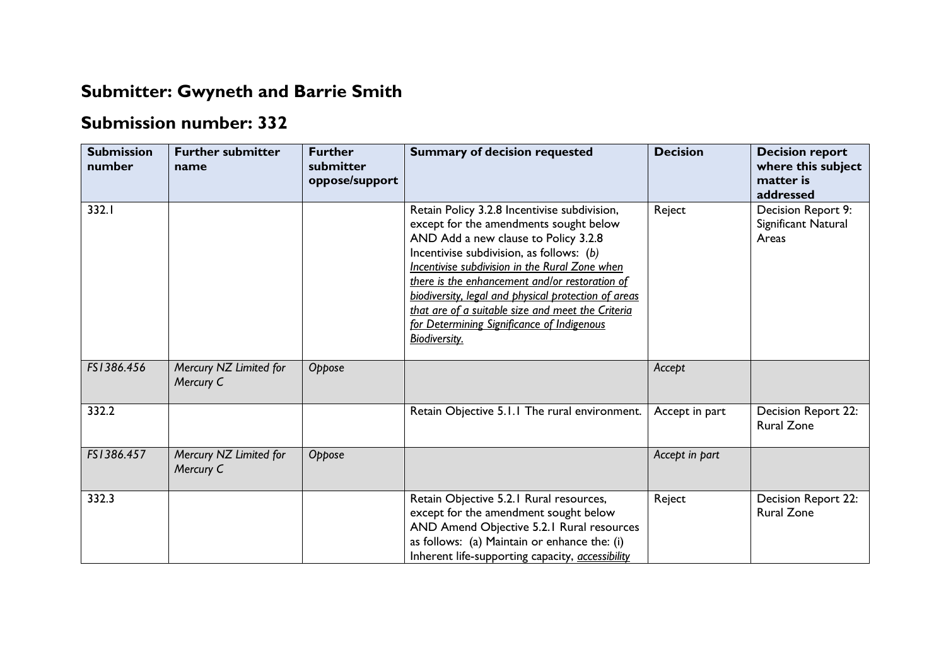## **Submitter: Gwyneth and Barrie Smith**

## **Submission number: 332**

| <b>Submission</b><br>number | <b>Further submitter</b><br>name    | <b>Further</b><br>submitter<br>oppose/support | <b>Summary of decision requested</b>                                                                                                                                                                                                                                                                                                                                                                                                                              | <b>Decision</b> | <b>Decision report</b><br>where this subject<br>matter is<br>addressed |
|-----------------------------|-------------------------------------|-----------------------------------------------|-------------------------------------------------------------------------------------------------------------------------------------------------------------------------------------------------------------------------------------------------------------------------------------------------------------------------------------------------------------------------------------------------------------------------------------------------------------------|-----------------|------------------------------------------------------------------------|
| 332.I                       |                                     |                                               | Retain Policy 3.2.8 Incentivise subdivision,<br>except for the amendments sought below<br>AND Add a new clause to Policy 3.2.8<br>Incentivise subdivision, as follows: (b)<br>Incentivise subdivision in the Rural Zone when<br>there is the enhancement and/or restoration of<br>biodiversity, legal and physical protection of areas<br>that are of a suitable size and meet the Criteria<br>for Determining Significance of Indigenous<br><b>Biodiversity.</b> | Reject          | Decision Report 9:<br>Significant Natural<br>Areas                     |
| FS1386.456                  | Mercury NZ Limited for<br>Mercury C | Oppose                                        |                                                                                                                                                                                                                                                                                                                                                                                                                                                                   | Accept          |                                                                        |
| 332.2                       |                                     |                                               | Retain Objective 5.1.1 The rural environment.                                                                                                                                                                                                                                                                                                                                                                                                                     | Accept in part  | Decision Report 22:<br><b>Rural Zone</b>                               |
| FS1386.457                  | Mercury NZ Limited for<br>Mercury C | Oppose                                        |                                                                                                                                                                                                                                                                                                                                                                                                                                                                   | Accept in part  |                                                                        |
| 332.3                       |                                     |                                               | Retain Objective 5.2.1 Rural resources,<br>except for the amendment sought below<br>AND Amend Objective 5.2.1 Rural resources<br>as follows: (a) Maintain or enhance the: (i)<br>Inherent life-supporting capacity, <i>accessibility</i>                                                                                                                                                                                                                          | Reject          | Decision Report 22:<br><b>Rural Zone</b>                               |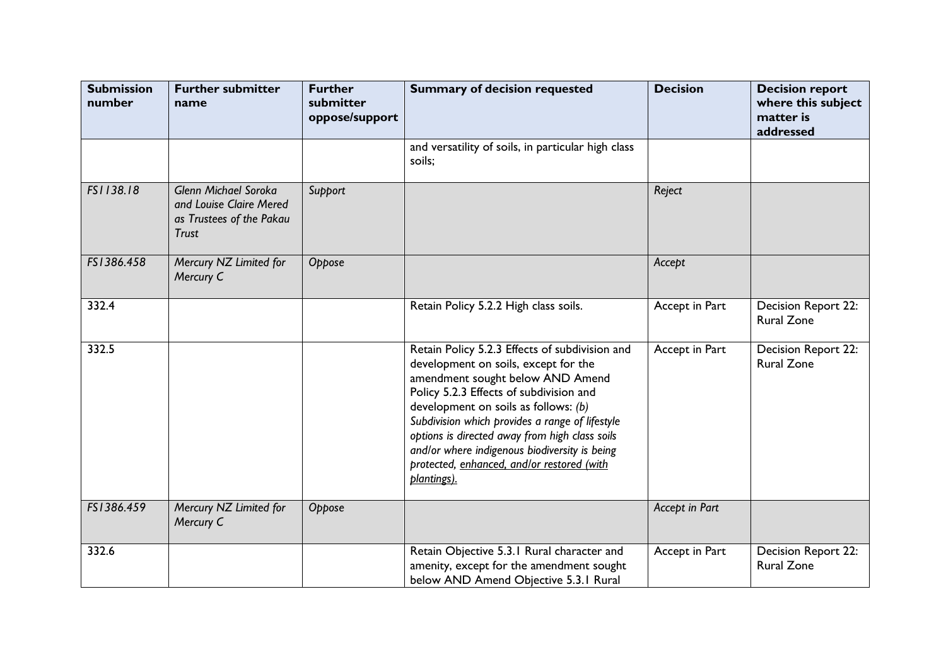| <b>Submission</b><br>number | <b>Further submitter</b><br>name                                                                   | <b>Further</b><br>submitter<br>oppose/support | <b>Summary of decision requested</b>                                                                                                                                                                                                                                                                                                                                                                                             | <b>Decision</b> | <b>Decision report</b><br>where this subject<br>matter is<br>addressed |
|-----------------------------|----------------------------------------------------------------------------------------------------|-----------------------------------------------|----------------------------------------------------------------------------------------------------------------------------------------------------------------------------------------------------------------------------------------------------------------------------------------------------------------------------------------------------------------------------------------------------------------------------------|-----------------|------------------------------------------------------------------------|
|                             |                                                                                                    |                                               | and versatility of soils, in particular high class<br>soils;                                                                                                                                                                                                                                                                                                                                                                     |                 |                                                                        |
| FS1138.18                   | <b>Glenn Michael Soroka</b><br>and Louise Claire Mered<br>as Trustees of the Pakau<br><b>Trust</b> | Support                                       |                                                                                                                                                                                                                                                                                                                                                                                                                                  | Reject          |                                                                        |
| FS1386.458                  | Mercury NZ Limited for<br>Mercury C                                                                | Oppose                                        |                                                                                                                                                                                                                                                                                                                                                                                                                                  | Accept          |                                                                        |
| 332.4                       |                                                                                                    |                                               | Retain Policy 5.2.2 High class soils.                                                                                                                                                                                                                                                                                                                                                                                            | Accept in Part  | Decision Report 22:<br><b>Rural Zone</b>                               |
| 332.5                       |                                                                                                    |                                               | Retain Policy 5.2.3 Effects of subdivision and<br>development on soils, except for the<br>amendment sought below AND Amend<br>Policy 5.2.3 Effects of subdivision and<br>development on soils as follows: (b)<br>Subdivision which provides a range of lifestyle<br>options is directed away from high class soils<br>and/or where indigenous biodiversity is being<br>protected, enhanced, and/or restored (with<br>plantings). | Accept in Part  | Decision Report 22:<br><b>Rural Zone</b>                               |
| FS1386.459                  | Mercury NZ Limited for<br>Mercury C                                                                | Oppose                                        |                                                                                                                                                                                                                                                                                                                                                                                                                                  | Accept in Part  |                                                                        |
| 332.6                       |                                                                                                    |                                               | Retain Objective 5.3.1 Rural character and<br>amenity, except for the amendment sought<br>below AND Amend Objective 5.3.1 Rural                                                                                                                                                                                                                                                                                                  | Accept in Part  | Decision Report 22:<br><b>Rural Zone</b>                               |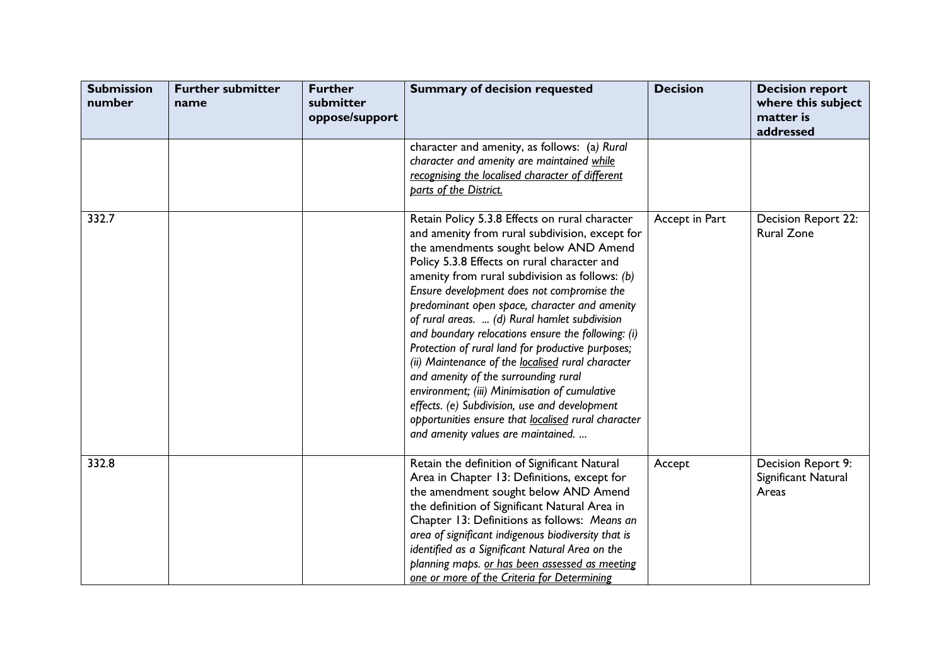| <b>Submission</b><br>number | <b>Further submitter</b><br>name | <b>Further</b><br>submitter<br>oppose/support | <b>Summary of decision requested</b>                                                                                                                                                                                                                                                                                                                                                                                                                                                                                                                                                                                                                                                                                                                                                                | <b>Decision</b> | <b>Decision report</b><br>where this subject<br>matter is<br>addressed |
|-----------------------------|----------------------------------|-----------------------------------------------|-----------------------------------------------------------------------------------------------------------------------------------------------------------------------------------------------------------------------------------------------------------------------------------------------------------------------------------------------------------------------------------------------------------------------------------------------------------------------------------------------------------------------------------------------------------------------------------------------------------------------------------------------------------------------------------------------------------------------------------------------------------------------------------------------------|-----------------|------------------------------------------------------------------------|
|                             |                                  |                                               | character and amenity, as follows: (a) Rural<br>character and amenity are maintained while<br>recognising the localised character of different<br>parts of the District.                                                                                                                                                                                                                                                                                                                                                                                                                                                                                                                                                                                                                            |                 |                                                                        |
| 332.7                       |                                  |                                               | Retain Policy 5.3.8 Effects on rural character<br>and amenity from rural subdivision, except for<br>the amendments sought below AND Amend<br>Policy 5.3.8 Effects on rural character and<br>amenity from rural subdivision as follows: $(b)$<br>Ensure development does not compromise the<br>predominant open space, character and amenity<br>of rural areas.  (d) Rural hamlet subdivision<br>and boundary relocations ensure the following: (i)<br>Protection of rural land for productive purposes;<br>(ii) Maintenance of the localised rural character<br>and amenity of the surrounding rural<br>environment; (iii) Minimisation of cumulative<br>effects. (e) Subdivision, use and development<br>opportunities ensure that localised rural character<br>and amenity values are maintained. | Accept in Part  | Decision Report 22:<br><b>Rural Zone</b>                               |
| 332.8                       |                                  |                                               | Retain the definition of Significant Natural<br>Area in Chapter 13: Definitions, except for<br>the amendment sought below AND Amend<br>the definition of Significant Natural Area in<br>Chapter 13: Definitions as follows: Means an<br>area of significant indigenous biodiversity that is<br>identified as a Significant Natural Area on the<br>planning maps. or has been assessed as meeting<br>one or more of the Criteria for Determining                                                                                                                                                                                                                                                                                                                                                     | Accept          | Decision Report 9:<br>Significant Natural<br>Areas                     |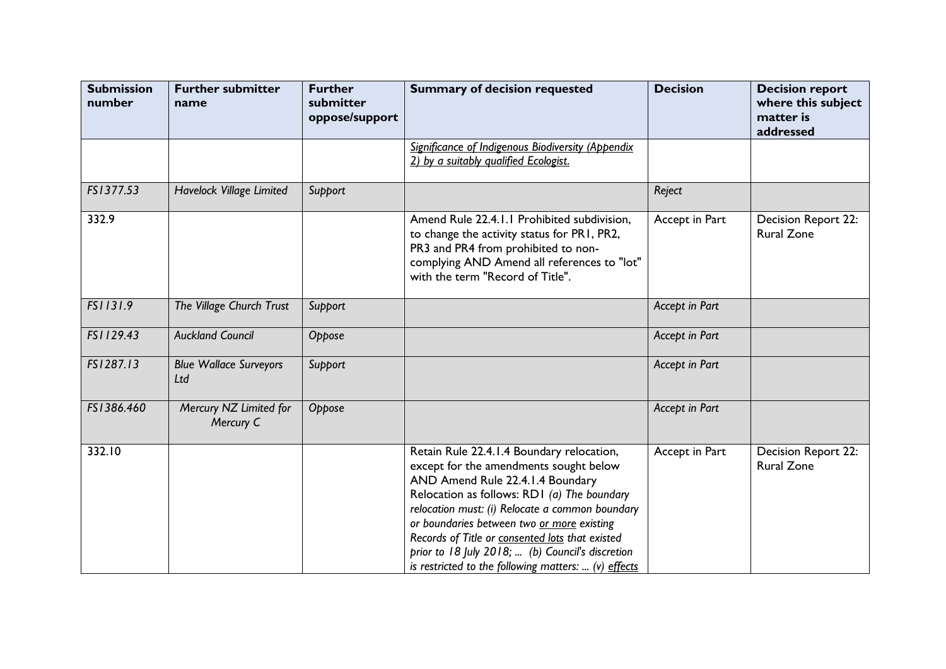| <b>Submission</b><br>number | <b>Further submitter</b><br>name     | <b>Further</b><br>submitter<br>oppose/support | <b>Summary of decision requested</b>                                                                                                                                                                                                                                                                                                                                                                                                   | <b>Decision</b> | <b>Decision report</b><br>where this subject<br>matter is<br>addressed |
|-----------------------------|--------------------------------------|-----------------------------------------------|----------------------------------------------------------------------------------------------------------------------------------------------------------------------------------------------------------------------------------------------------------------------------------------------------------------------------------------------------------------------------------------------------------------------------------------|-----------------|------------------------------------------------------------------------|
|                             |                                      |                                               | Significance of Indigenous Biodiversity (Appendix<br>2) by a suitably qualified Ecologist.                                                                                                                                                                                                                                                                                                                                             |                 |                                                                        |
| FS1377.53                   | <b>Havelock Village Limited</b>      | Support                                       |                                                                                                                                                                                                                                                                                                                                                                                                                                        | Reject          |                                                                        |
| 332.9                       |                                      |                                               | Amend Rule 22.4.1.1 Prohibited subdivision,<br>to change the activity status for PR1, PR2,<br>PR3 and PR4 from prohibited to non-<br>complying AND Amend all references to "lot"<br>with the term "Record of Title".                                                                                                                                                                                                                   | Accept in Part  | Decision Report 22:<br><b>Rural Zone</b>                               |
| FS1131.9                    | The Village Church Trust             | Support                                       |                                                                                                                                                                                                                                                                                                                                                                                                                                        | Accept in Part  |                                                                        |
| FS1129.43                   | <b>Auckland Council</b>              | Oppose                                        |                                                                                                                                                                                                                                                                                                                                                                                                                                        | Accept in Part  |                                                                        |
| FS1287.13                   | <b>Blue Wallace Surveyors</b><br>Ltd | Support                                       |                                                                                                                                                                                                                                                                                                                                                                                                                                        | Accept in Part  |                                                                        |
| FS1386.460                  | Mercury NZ Limited for<br>Mercury C  | Oppose                                        |                                                                                                                                                                                                                                                                                                                                                                                                                                        | Accept in Part  |                                                                        |
| 332.10                      |                                      |                                               | Retain Rule 22.4.1.4 Boundary relocation,<br>except for the amendments sought below<br>AND Amend Rule 22.4.1.4 Boundary<br>Relocation as follows: RD1 (a) The boundary<br>relocation must: (i) Relocate a common boundary<br>or boundaries between two or more existing<br>Records of Title or consented lots that existed<br>prior to 18 July 2018;  (b) Council's discretion<br>is restricted to the following matters:  (v) effects | Accept in Part  | <b>Decision Report 22:</b><br><b>Rural Zone</b>                        |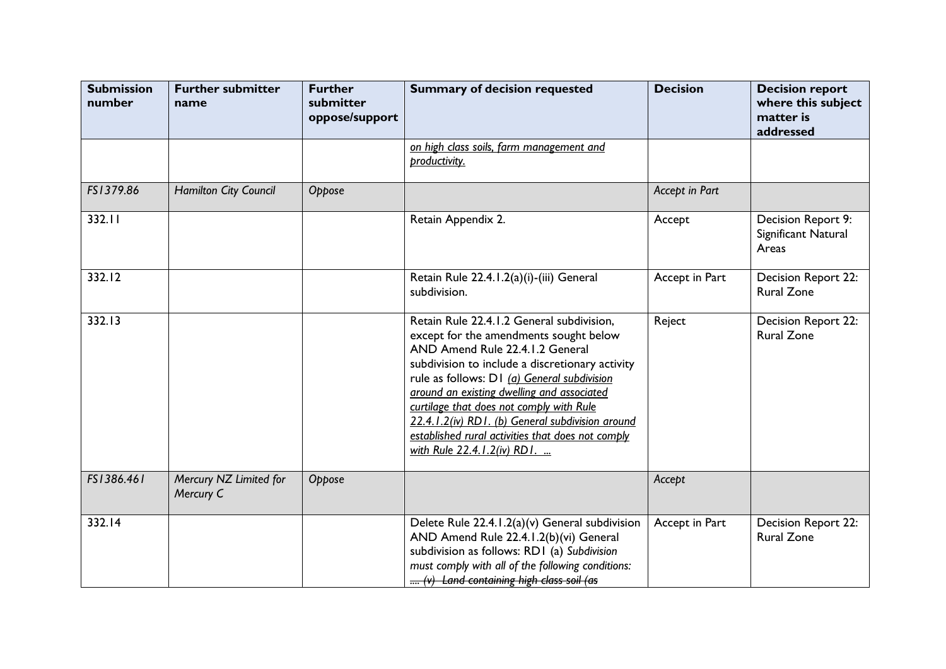| <b>Submission</b><br>number | <b>Further submitter</b><br>name    | <b>Further</b><br>submitter<br>oppose/support | <b>Summary of decision requested</b>                                                                                                                                                                                                                                                                                                                                                                                                                       | <b>Decision</b> | <b>Decision report</b><br>where this subject<br>matter is<br>addressed |
|-----------------------------|-------------------------------------|-----------------------------------------------|------------------------------------------------------------------------------------------------------------------------------------------------------------------------------------------------------------------------------------------------------------------------------------------------------------------------------------------------------------------------------------------------------------------------------------------------------------|-----------------|------------------------------------------------------------------------|
|                             |                                     |                                               | on high class soils, farm management and<br>productivity.                                                                                                                                                                                                                                                                                                                                                                                                  |                 |                                                                        |
| FS1379.86                   | <b>Hamilton City Council</b>        | Oppose                                        |                                                                                                                                                                                                                                                                                                                                                                                                                                                            | Accept in Part  |                                                                        |
| 332.11                      |                                     |                                               | Retain Appendix 2.                                                                                                                                                                                                                                                                                                                                                                                                                                         | Accept          | Decision Report 9:<br>Significant Natural<br>Areas                     |
| 332.12                      |                                     |                                               | Retain Rule 22.4.1.2(a)(i)-(iii) General<br>subdivision.                                                                                                                                                                                                                                                                                                                                                                                                   | Accept in Part  | Decision Report 22:<br><b>Rural Zone</b>                               |
| 332.13                      |                                     |                                               | Retain Rule 22.4.1.2 General subdivision,<br>except for the amendments sought below<br>AND Amend Rule 22.4.1.2 General<br>subdivision to include a discretionary activity<br>rule as follows: D1 (a) General subdivision<br>around an existing dwelling and associated<br>curtilage that does not comply with Rule<br>22.4.1.2(iv) RD1. (b) General subdivision around<br>established rural activities that does not comply<br>with Rule 22.4.1.2(iv) RD1. | Reject          | Decision Report 22:<br><b>Rural Zone</b>                               |
| FS1386.461                  | Mercury NZ Limited for<br>Mercury C | Oppose                                        |                                                                                                                                                                                                                                                                                                                                                                                                                                                            | Accept          |                                                                        |
| 332.14                      |                                     |                                               | Delete Rule 22.4.1.2(a)(v) General subdivision<br>AND Amend Rule 22.4.1.2(b)(vi) General<br>subdivision as follows: RD1 (a) Subdivision<br>must comply with all of the following conditions:<br>(v) Land containing high class soil (as                                                                                                                                                                                                                    | Accept in Part  | Decision Report 22:<br><b>Rural Zone</b>                               |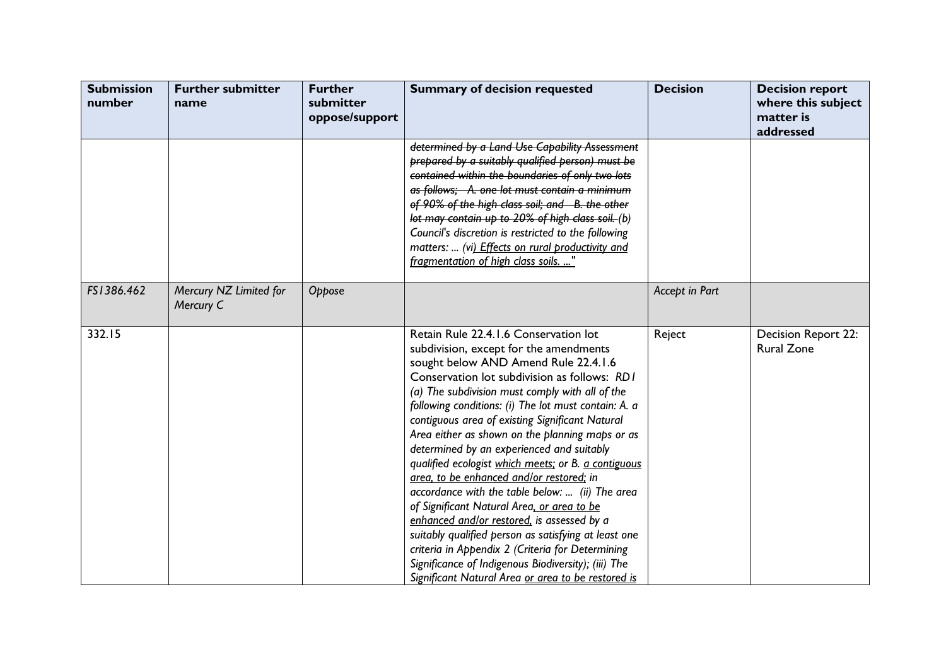| <b>Submission</b><br>number | <b>Further submitter</b><br>name    | <b>Further</b><br>submitter<br>oppose/support | <b>Summary of decision requested</b>                                                                                                                                                                                                                                                                                                                                                                                                                                                                                                                                                                                                                                                                                                                                                                                                                                                                             | <b>Decision</b> | <b>Decision report</b><br>where this subject<br>matter is<br>addressed |
|-----------------------------|-------------------------------------|-----------------------------------------------|------------------------------------------------------------------------------------------------------------------------------------------------------------------------------------------------------------------------------------------------------------------------------------------------------------------------------------------------------------------------------------------------------------------------------------------------------------------------------------------------------------------------------------------------------------------------------------------------------------------------------------------------------------------------------------------------------------------------------------------------------------------------------------------------------------------------------------------------------------------------------------------------------------------|-----------------|------------------------------------------------------------------------|
|                             |                                     |                                               | determined by a Land Use Capability Assessment<br>prepared by a suitably qualified person) must be<br>contained within the boundaries of only two lots<br>as follows; A. one lot must contain a minimum<br>of 90% of the high class soil; and B. the other<br>lot may contain up to 20% of high class soil. (b)<br>Council's discretion is restricted to the following<br>matters:  (vi) Effects on rural productivity and<br>fragmentation of high class soils. "                                                                                                                                                                                                                                                                                                                                                                                                                                               |                 |                                                                        |
| FS1386.462                  | Mercury NZ Limited for<br>Mercury C | Oppose                                        |                                                                                                                                                                                                                                                                                                                                                                                                                                                                                                                                                                                                                                                                                                                                                                                                                                                                                                                  | Accept in Part  |                                                                        |
| 332.15                      |                                     |                                               | Retain Rule 22.4.1.6 Conservation lot<br>subdivision, except for the amendments<br>sought below AND Amend Rule 22.4.1.6<br>Conservation lot subdivision as follows: RD1<br>(a) The subdivision must comply with all of the<br>following conditions: (i) The lot must contain: A. a<br>contiguous area of existing Significant Natural<br>Area either as shown on the planning maps or as<br>determined by an experienced and suitably<br>qualified ecologist which meets; or B. a contiguous<br>grea, to be enhanced and/or restored; in<br>accordance with the table below:  (ii) The area<br>of Significant Natural Area, or area to be<br>enhanced and/or restored, is assessed by a<br>suitably qualified person as satisfying at least one<br>criteria in Appendix 2 (Criteria for Determining<br>Significance of Indigenous Biodiversity); (iii) The<br>Significant Natural Area or area to be restored is | Reject          | Decision Report 22:<br><b>Rural Zone</b>                               |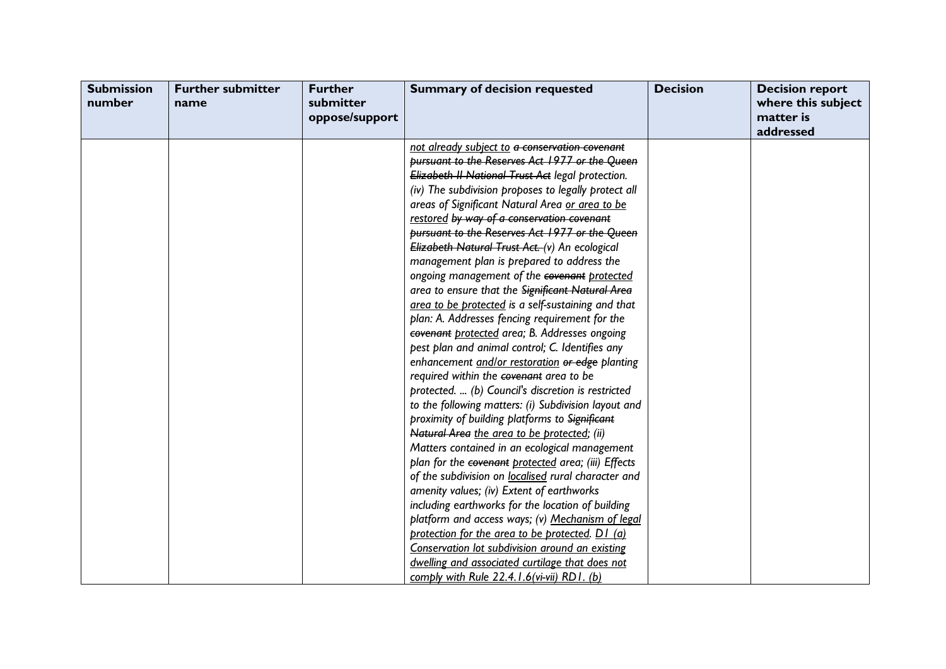| <b>Submission</b><br>number | <b>Further submitter</b><br>name | <b>Further</b><br>submitter<br>oppose/support | <b>Summary of decision requested</b>                 | <b>Decision</b> | <b>Decision report</b><br>where this subject<br>matter is<br>addressed |
|-----------------------------|----------------------------------|-----------------------------------------------|------------------------------------------------------|-----------------|------------------------------------------------------------------------|
|                             |                                  |                                               | not already subject to a conservation covenant       |                 |                                                                        |
|                             |                                  |                                               | pursuant to the Reserves Act 1977 or the Queen       |                 |                                                                        |
|                             |                                  |                                               | Elizabeth II National Trust Act legal protection.    |                 |                                                                        |
|                             |                                  |                                               | (iv) The subdivision proposes to legally protect all |                 |                                                                        |
|                             |                                  |                                               | areas of Significant Natural Area or area to be      |                 |                                                                        |
|                             |                                  |                                               | restored by way of a conservation covenant           |                 |                                                                        |
|                             |                                  |                                               | pursuant to the Reserves Act 1977 or the Queen       |                 |                                                                        |
|                             |                                  |                                               | Elizabeth Natural Trust Act. (v) An ecological       |                 |                                                                        |
|                             |                                  |                                               | management plan is prepared to address the           |                 |                                                                        |
|                             |                                  |                                               | ongoing management of the covenant protected         |                 |                                                                        |
|                             |                                  |                                               | area to ensure that the Significant Natural Area     |                 |                                                                        |
|                             |                                  |                                               | area to be protected is a self-sustaining and that   |                 |                                                                        |
|                             |                                  |                                               | plan: A. Addresses fencing requirement for the       |                 |                                                                        |
|                             |                                  |                                               | covenant protected area; B. Addresses ongoing        |                 |                                                                        |
|                             |                                  |                                               | pest plan and animal control; C. Identifies any      |                 |                                                                        |
|                             |                                  |                                               | enhancement and/or restoration or edge planting      |                 |                                                                        |
|                             |                                  |                                               | required within the covenant area to be              |                 |                                                                        |
|                             |                                  |                                               | protected.  (b) Council's discretion is restricted   |                 |                                                                        |
|                             |                                  |                                               | to the following matters: (i) Subdivision layout and |                 |                                                                        |
|                             |                                  |                                               | proximity of building platforms to Significant       |                 |                                                                        |
|                             |                                  |                                               | Natural Area the area to be protected; (ii)          |                 |                                                                        |
|                             |                                  |                                               | Matters contained in an ecological management        |                 |                                                                        |
|                             |                                  |                                               | plan for the covenant protected area; (iii) Effects  |                 |                                                                        |
|                             |                                  |                                               | of the subdivision on localised rural character and  |                 |                                                                        |
|                             |                                  |                                               | amenity values; (iv) Extent of earthworks            |                 |                                                                        |
|                             |                                  |                                               | including earthworks for the location of building    |                 |                                                                        |
|                             |                                  |                                               | platform and access ways; (v) Mechanism of legal     |                 |                                                                        |
|                             |                                  |                                               | protection for the area to be protected. D1 (a)      |                 |                                                                        |
|                             |                                  |                                               | Conservation lot subdivision around an existing      |                 |                                                                        |
|                             |                                  |                                               | dwelling and associated curtilage that does not      |                 |                                                                        |
|                             |                                  |                                               | comply with Rule 22.4.1.6( $vi$ - $vii$ ) RD1. (b)   |                 |                                                                        |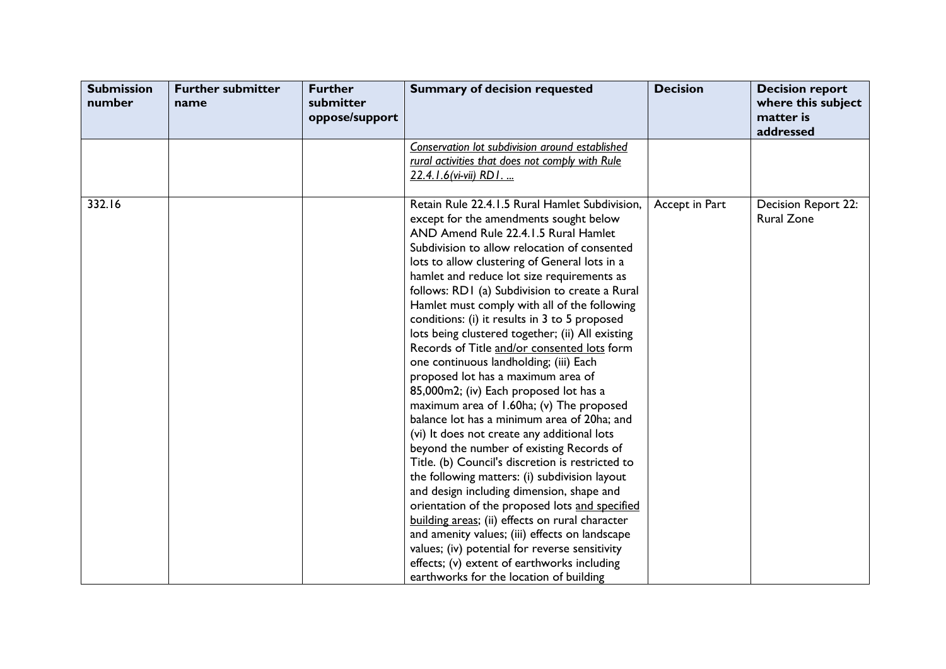| <b>Submission</b><br>number | <b>Further submitter</b><br>name | <b>Further</b><br>submitter<br>oppose/support | <b>Summary of decision requested</b>                                                                                                                                                                                                                                                                                                                                                                                                                                                                                                                                                                                                                                                                                                                                                                                                                                                                                                                                                                                                                                                                                                                                                                                                                            | <b>Decision</b> | <b>Decision report</b><br>where this subject<br>matter is<br>addressed |
|-----------------------------|----------------------------------|-----------------------------------------------|-----------------------------------------------------------------------------------------------------------------------------------------------------------------------------------------------------------------------------------------------------------------------------------------------------------------------------------------------------------------------------------------------------------------------------------------------------------------------------------------------------------------------------------------------------------------------------------------------------------------------------------------------------------------------------------------------------------------------------------------------------------------------------------------------------------------------------------------------------------------------------------------------------------------------------------------------------------------------------------------------------------------------------------------------------------------------------------------------------------------------------------------------------------------------------------------------------------------------------------------------------------------|-----------------|------------------------------------------------------------------------|
|                             |                                  |                                               | Conservation lot subdivision around established                                                                                                                                                                                                                                                                                                                                                                                                                                                                                                                                                                                                                                                                                                                                                                                                                                                                                                                                                                                                                                                                                                                                                                                                                 |                 |                                                                        |
|                             |                                  |                                               | rural activities that does not comply with Rule                                                                                                                                                                                                                                                                                                                                                                                                                                                                                                                                                                                                                                                                                                                                                                                                                                                                                                                                                                                                                                                                                                                                                                                                                 |                 |                                                                        |
|                             |                                  |                                               | 22.4.1.6(vi-vii) RD1                                                                                                                                                                                                                                                                                                                                                                                                                                                                                                                                                                                                                                                                                                                                                                                                                                                                                                                                                                                                                                                                                                                                                                                                                                            |                 |                                                                        |
| 332.16                      |                                  |                                               | Retain Rule 22.4.1.5 Rural Hamlet Subdivision,<br>except for the amendments sought below<br>AND Amend Rule 22.4.1.5 Rural Hamlet<br>Subdivision to allow relocation of consented<br>lots to allow clustering of General lots in a<br>hamlet and reduce lot size requirements as<br>follows: RD1 (a) Subdivision to create a Rural<br>Hamlet must comply with all of the following<br>conditions: (i) it results in 3 to 5 proposed<br>lots being clustered together; (ii) All existing<br>Records of Title and/or consented lots form<br>one continuous landholding; (iii) Each<br>proposed lot has a maximum area of<br>85,000m2; (iv) Each proposed lot has a<br>maximum area of 1.60ha; (v) The proposed<br>balance lot has a minimum area of 20ha; and<br>(vi) It does not create any additional lots<br>beyond the number of existing Records of<br>Title. (b) Council's discretion is restricted to<br>the following matters: (i) subdivision layout<br>and design including dimension, shape and<br>orientation of the proposed lots and specified<br>building areas; (ii) effects on rural character<br>and amenity values; (iii) effects on landscape<br>values; (iv) potential for reverse sensitivity<br>effects; (v) extent of earthworks including | Accept in Part  | Decision Report 22:<br><b>Rural Zone</b>                               |
|                             |                                  |                                               | earthworks for the location of building                                                                                                                                                                                                                                                                                                                                                                                                                                                                                                                                                                                                                                                                                                                                                                                                                                                                                                                                                                                                                                                                                                                                                                                                                         |                 |                                                                        |